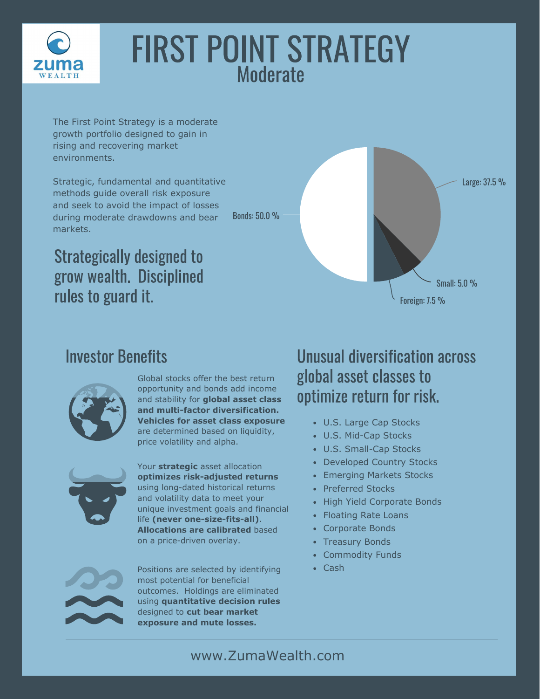

# FIRST POINT STRATEGY **Moderate**

Bonds: 50.0 %

The First Point Strategy is a moderate growth portfolio designed to gain in rising and recovering market environments.

Strategic, fundamental and quantitative methods guide overall risk exposure and seek to avoid the impact of losses during moderate drawdowns and bear markets.

Strategically designed to grow wealth. Disciplined rules to guard it.

Large: 37.5 % Small: 5.0 % Foreign: 7.5 %

#### Investor Benefits



Global stocks offer the best return opportunity and bonds add income and stability for **global asset class and multi-factor diversification. Vehicles for asset class exposure**  are determined based on liquidity, price volatility and alpha.



Your **strategic** asset allocation **optimizes risk-adjusted returns**  using long-dated historical returns and volatility data to meet your unique investment goals and financial life **(never one-size-fits-all)**. **Allocations are calibrated** based on a price-driven overlay.

Positions are selected by identifying • Cash most potential for beneficial outcomes. Holdings are eliminated using **quantitative decision rules**  designed to **cut bear market exposure and mute losses.**

#### Unusual diversification across global asset classes to optimize return for risk.

- U.S. Large Cap Stocks
- U.S. Mid-Cap Stocks
- U.S. Small-Cap Stocks
- Developed Country Stocks
- Emerging Markets Stocks
- Preferred Stocks
- High Yield Corporate Bonds
- Floating Rate Loans
- Corporate Bonds
- Treasury Bonds
- Commodity Funds
-